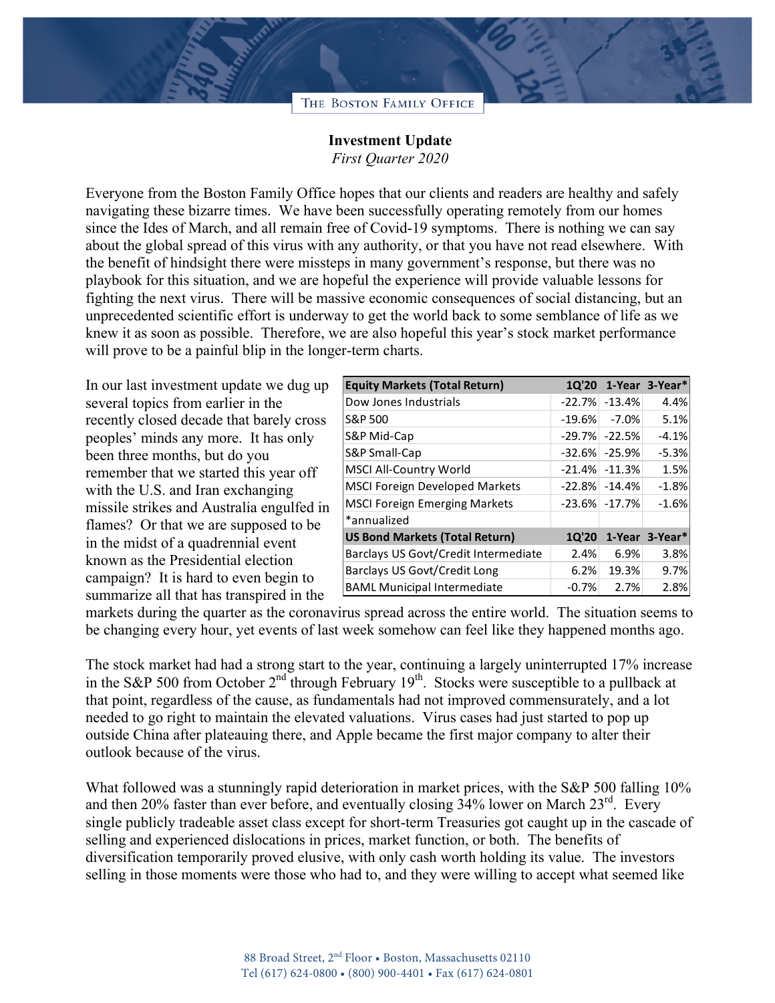## THE BOSTON FAMILY OFFICE

## **Investment Update**

*First Quarter 2020*

Everyone from the Boston Family Office hopes that our clients and readers are healthy and safely navigating these bizarre times. We have been successfully operating remotely from our homes since the Ides of March, and all remain free of Covid-19 symptoms. There is nothing we can say about the global spread of this virus with any authority, or that you have not read elsewhere. With the benefit of hindsight there were missteps in many government's response, but there was no playbook for this situation, and we are hopeful the experience will provide valuable lessons for fighting the next virus. There will be massive economic consequences of social distancing, but an unprecedented scientific effort is underway to get the world back to some semblance of life as we knew it as soon as possible. Therefore, we are also hopeful this year's stock market performance will prove to be a painful blip in the longer-term charts.

In our last investment update we dug up several topics from earlier in the recently closed decade that barely cross peoples' minds any more. It has only been three months, but do you remember that we started this year off with the U.S. and Iran exchanging missile strikes and Australia engulfed in flames? Or that we are supposed to be in the midst of a quadrennial event known as the Presidential election campaign? It is hard to even begin to summarize all that has transpired in the

| <b>Equity Markets (Total Return)</b>  |              |                     | 1Q'20 1-Year 3-Year* |
|---------------------------------------|--------------|---------------------|----------------------|
| Dow Jones Industrials                 |              | $-22.7\%$ $-13.4\%$ | 4.4%                 |
| S&P 500                               | $-19.6%$     | $-7.0%$             | 5.1%                 |
| S&P Mid-Cap                           |              | $-29.7\%$ $-22.5\%$ | $-4.1%$              |
| S&P Small-Cap                         |              | $-32.6\%$ $-25.9\%$ | $-5.3%$              |
| <b>MSCI All-Country World</b>         |              | $-21.4\%$ $-11.3\%$ | 1.5%                 |
| <b>MSCI Foreign Developed Markets</b> |              | $-22.8\%$ $-14.4\%$ | $-1.8%$              |
| <b>MSCI Foreign Emerging Markets</b>  |              | $-23.6\%$ $-17.7\%$ | $-1.6%$              |
| *annualized                           |              |                     |                      |
| <b>US Bond Markets (Total Return)</b> | <b>1Q'20</b> |                     | 1-Year 3-Year*       |
| Barclays US Govt/Credit Intermediate  | 2.4%         | 6.9%                | 3.8%                 |
| Barclays US Govt/Credit Long          | 6.2%         | 19.3%               | 9.7%                 |
| <b>BAML Municipal Intermediate</b>    | $-0.7%$      | 2.7%                | 2.8%                 |

markets during the quarter as the coronavirus spread across the entire world. The situation seems to be changing every hour, yet events of last week somehow can feel like they happened months ago.

The stock market had had a strong start to the year, continuing a largely uninterrupted 17% increase in the S&P 500 from October  $2<sup>nd</sup>$  through February  $19<sup>th</sup>$ . Stocks were susceptible to a pullback at that point, regardless of the cause, as fundamentals had not improved commensurately, and a lot needed to go right to maintain the elevated valuations. Virus cases had just started to pop up outside China after plateauing there, and Apple became the first major company to alter their outlook because of the virus.

What followed was a stunningly rapid deterioration in market prices, with the S&P 500 falling 10% and then 20% faster than ever before, and eventually closing  $34\%$  lower on March  $23<sup>rd</sup>$ . Every single publicly tradeable asset class except for short-term Treasuries got caught up in the cascade of selling and experienced dislocations in prices, market function, or both. The benefits of diversification temporarily proved elusive, with only cash worth holding its value. The investors selling in those moments were those who had to, and they were willing to accept what seemed like